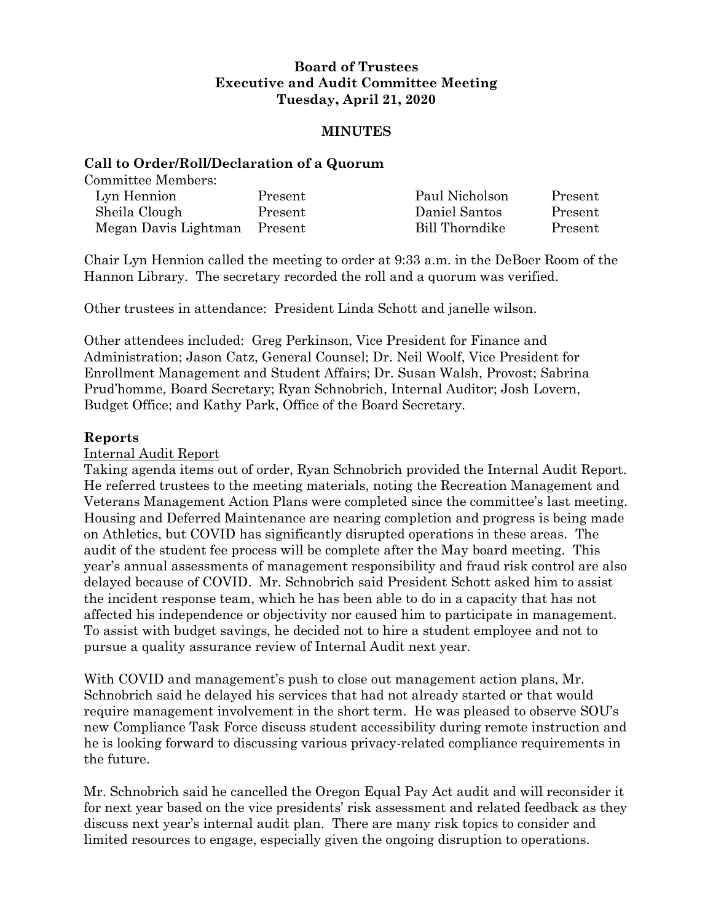## **Board of Trustees Executive and Audit Committee Meeting Tuesday, April 21, 2020**

## **MINUTES**

### **Call to Order/Roll/Declaration of a Quorum**

Committee Members:

| Lyn Hennion                  | Present | Paul Nicholson | Present |
|------------------------------|---------|----------------|---------|
| Sheila Clough                | Present | Daniel Santos  | Present |
| Megan Davis Lightman Present |         | Bill Thorndike | Present |

Chair Lyn Hennion called the meeting to order at 9:33 a.m. in the DeBoer Room of the Hannon Library. The secretary recorded the roll and a quorum was verified.

Other trustees in attendance: President Linda Schott and janelle wilson.

Other attendees included: Greg Perkinson, Vice President for Finance and Administration; Jason Catz, General Counsel; Dr. Neil Woolf, Vice President for Enrollment Management and Student Affairs; Dr. Susan Walsh, Provost; Sabrina Prud'homme, Board Secretary; Ryan Schnobrich, Internal Auditor; Josh Lovern, Budget Office; and Kathy Park, Office of the Board Secretary.

## **Reports**

### Internal Audit Report

Taking agenda items out of order, Ryan Schnobrich provided the Internal Audit Report. He referred trustees to the meeting materials, noting the Recreation Management and Veterans Management Action Plans were completed since the committee's last meeting. Housing and Deferred Maintenance are nearing completion and progress is being made on Athletics, but COVID has significantly disrupted operations in these areas. The audit of the student fee process will be complete after the May board meeting. This year's annual assessments of management responsibility and fraud risk control are also delayed because of COVID. Mr. Schnobrich said President Schott asked him to assist the incident response team, which he has been able to do in a capacity that has not affected his independence or objectivity nor caused him to participate in management. To assist with budget savings, he decided not to hire a student employee and not to pursue a quality assurance review of Internal Audit next year.

With COVID and management's push to close out management action plans, Mr. Schnobrich said he delayed his services that had not already started or that would require management involvement in the short term. He was pleased to observe SOU's new Compliance Task Force discuss student accessibility during remote instruction and he is looking forward to discussing various privacy-related compliance requirements in the future.

Mr. Schnobrich said he cancelled the Oregon Equal Pay Act audit and will reconsider it for next year based on the vice presidents' risk assessment and related feedback as they discuss next year's internal audit plan. There are many risk topics to consider and limited resources to engage, especially given the ongoing disruption to operations.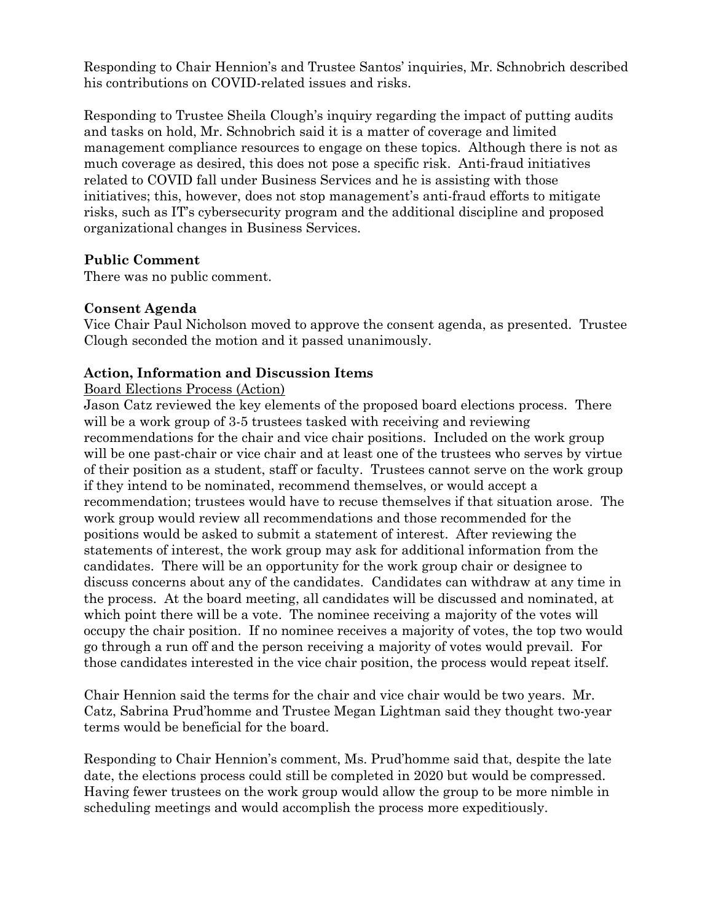Responding to Chair Hennion's and Trustee Santos' inquiries, Mr. Schnobrich described his contributions on COVID-related issues and risks.

Responding to Trustee Sheila Clough's inquiry regarding the impact of putting audits and tasks on hold, Mr. Schnobrich said it is a matter of coverage and limited management compliance resources to engage on these topics. Although there is not as much coverage as desired, this does not pose a specific risk. Anti-fraud initiatives related to COVID fall under Business Services and he is assisting with those initiatives; this, however, does not stop management's anti-fraud efforts to mitigate risks, such as IT's cybersecurity program and the additional discipline and proposed organizational changes in Business Services.

# **Public Comment**

There was no public comment.

## **Consent Agenda**

Vice Chair Paul Nicholson moved to approve the consent agenda, as presented. Trustee Clough seconded the motion and it passed unanimously.

## **Action, Information and Discussion Items**

### Board Elections Process (Action)

Jason Catz reviewed the key elements of the proposed board elections process. There will be a work group of 3-5 trustees tasked with receiving and reviewing recommendations for the chair and vice chair positions. Included on the work group will be one past-chair or vice chair and at least one of the trustees who serves by virtue of their position as a student, staff or faculty. Trustees cannot serve on the work group if they intend to be nominated, recommend themselves, or would accept a recommendation; trustees would have to recuse themselves if that situation arose. The work group would review all recommendations and those recommended for the positions would be asked to submit a statement of interest. After reviewing the statements of interest, the work group may ask for additional information from the candidates. There will be an opportunity for the work group chair or designee to discuss concerns about any of the candidates. Candidates can withdraw at any time in the process. At the board meeting, all candidates will be discussed and nominated, at which point there will be a vote. The nominee receiving a majority of the votes will occupy the chair position. If no nominee receives a majority of votes, the top two would go through a run off and the person receiving a majority of votes would prevail. For those candidates interested in the vice chair position, the process would repeat itself.

Chair Hennion said the terms for the chair and vice chair would be two years. Mr. Catz, Sabrina Prud'homme and Trustee Megan Lightman said they thought two-year terms would be beneficial for the board.

Responding to Chair Hennion's comment, Ms. Prud'homme said that, despite the late date, the elections process could still be completed in 2020 but would be compressed. Having fewer trustees on the work group would allow the group to be more nimble in scheduling meetings and would accomplish the process more expeditiously.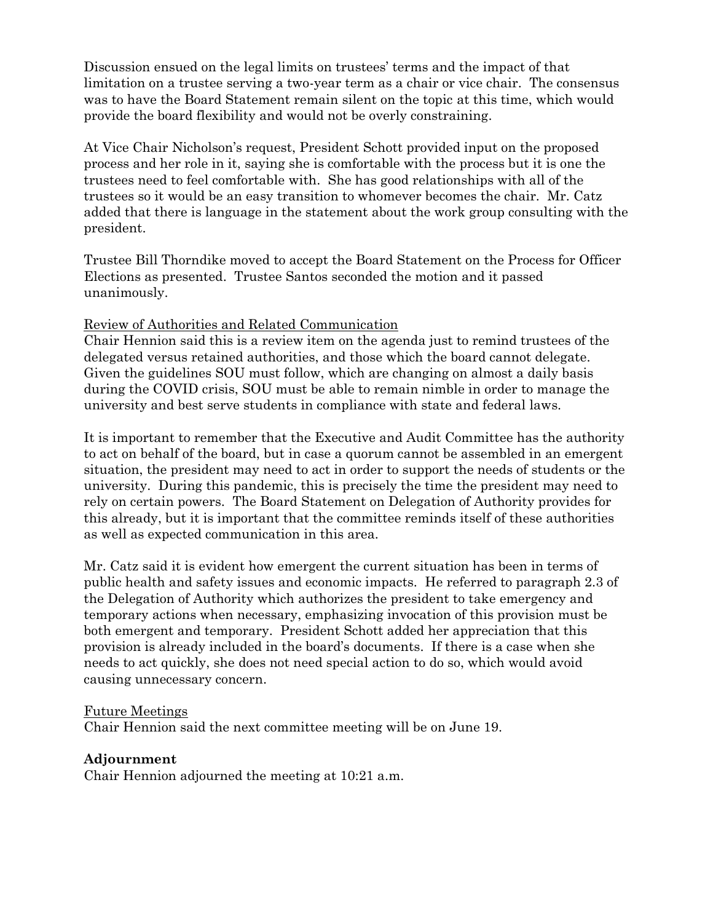Discussion ensued on the legal limits on trustees' terms and the impact of that limitation on a trustee serving a two-year term as a chair or vice chair. The consensus was to have the Board Statement remain silent on the topic at this time, which would provide the board flexibility and would not be overly constraining.

At Vice Chair Nicholson's request, President Schott provided input on the proposed process and her role in it, saying she is comfortable with the process but it is one the trustees need to feel comfortable with. She has good relationships with all of the trustees so it would be an easy transition to whomever becomes the chair. Mr. Catz added that there is language in the statement about the work group consulting with the president.

Trustee Bill Thorndike moved to accept the Board Statement on the Process for Officer Elections as presented. Trustee Santos seconded the motion and it passed unanimously.

## Review of Authorities and Related Communication

Chair Hennion said this is a review item on the agenda just to remind trustees of the delegated versus retained authorities, and those which the board cannot delegate. Given the guidelines SOU must follow, which are changing on almost a daily basis during the COVID crisis, SOU must be able to remain nimble in order to manage the university and best serve students in compliance with state and federal laws.

It is important to remember that the Executive and Audit Committee has the authority to act on behalf of the board, but in case a quorum cannot be assembled in an emergent situation, the president may need to act in order to support the needs of students or the university. During this pandemic, this is precisely the time the president may need to rely on certain powers. The Board Statement on Delegation of Authority provides for this already, but it is important that the committee reminds itself of these authorities as well as expected communication in this area.

Mr. Catz said it is evident how emergent the current situation has been in terms of public health and safety issues and economic impacts. He referred to paragraph 2.3 of the Delegation of Authority which authorizes the president to take emergency and temporary actions when necessary, emphasizing invocation of this provision must be both emergent and temporary. President Schott added her appreciation that this provision is already included in the board's documents. If there is a case when she needs to act quickly, she does not need special action to do so, which would avoid causing unnecessary concern.

### Future Meetings

Chair Hennion said the next committee meeting will be on June 19.

## **Adjournment**

Chair Hennion adjourned the meeting at 10:21 a.m.